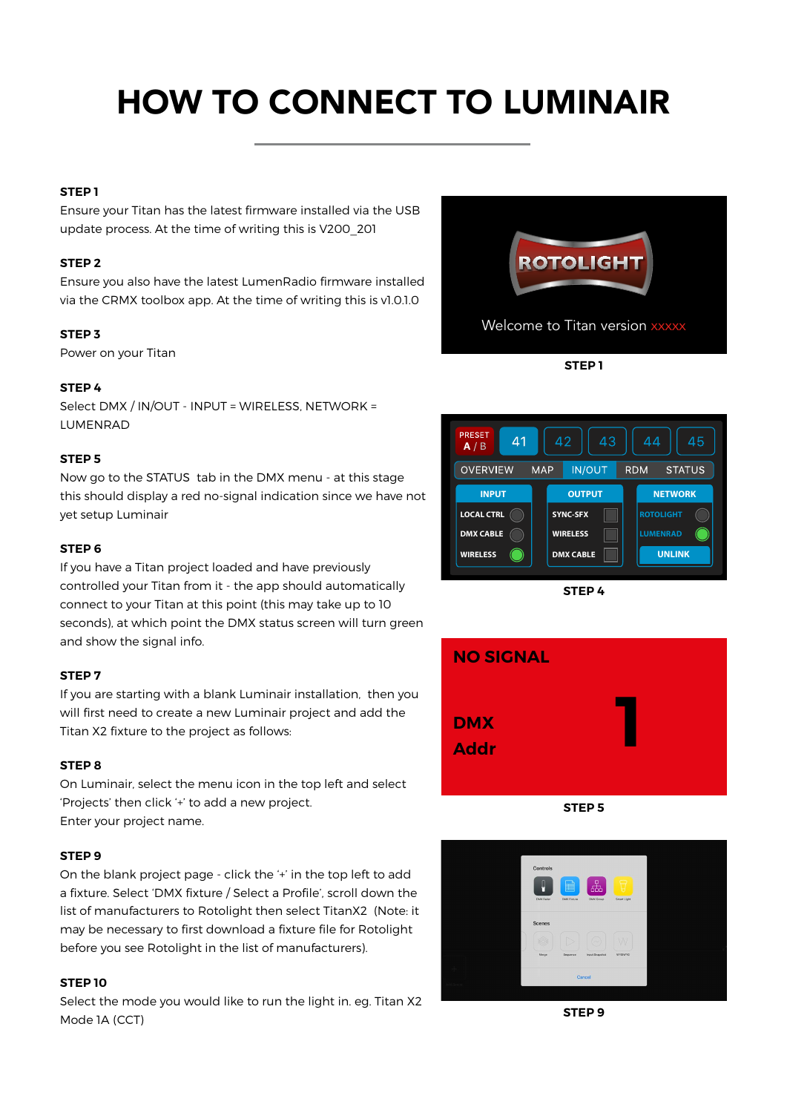# HOW TO CONNECT TO LUMINAIR

### **STEP 1**

Ensure your Titan has the latest firmware installed via the USB update process. At the time of writing this is V200\_201

### **STEP 2**

Ensure you also have the latest LumenRadio firmware installed via the CRMX toolbox app. At the time of writing this is v1.0.1.0

### **STEP 3**

Power on your Titan

#### **STEP 4**

Select DMX / IN/OUT - INPUT = WIRELESS, NETWORK = LUMENRAD

#### **STEP 5**

Now go to the STATUS tab in the DMX menu - at this stage this should display a red no-signal indication since we have not yet setup Luminair

### **STEP 6**

If you have a Titan project loaded and have previously controlled your Titan from it - the app should automatically connect to your Titan at this point (this may take up to 10 seconds), at which point the DMX status screen will turn green and show the signal info.

#### **STEP 7**

If you are starting with a blank Luminair installation, then you will first need to create a new Luminair project and add the Titan X2 fixture to the project as follows:

#### **STEP 8**

On Luminair, select the menu icon in the top left and select 'Projects' then click '+' to add a new project. Enter your project name.

#### **STEP 9**

On the blank project page - click the '+' in the top left to add a fixture. Select 'DMX fixture / Select a Profile', scroll down the list of manufacturers to Rotolight then select TitanX2 (Note: it may be necessary to first download a fixture file for Rotolight before you see Rotolight in the list of manufacturers).

#### **STEP 10**

Select the mode you would like to run the light in. eg. Titan X2 Mode 1A (CCT)









**STEP 5**



**STEP 9**